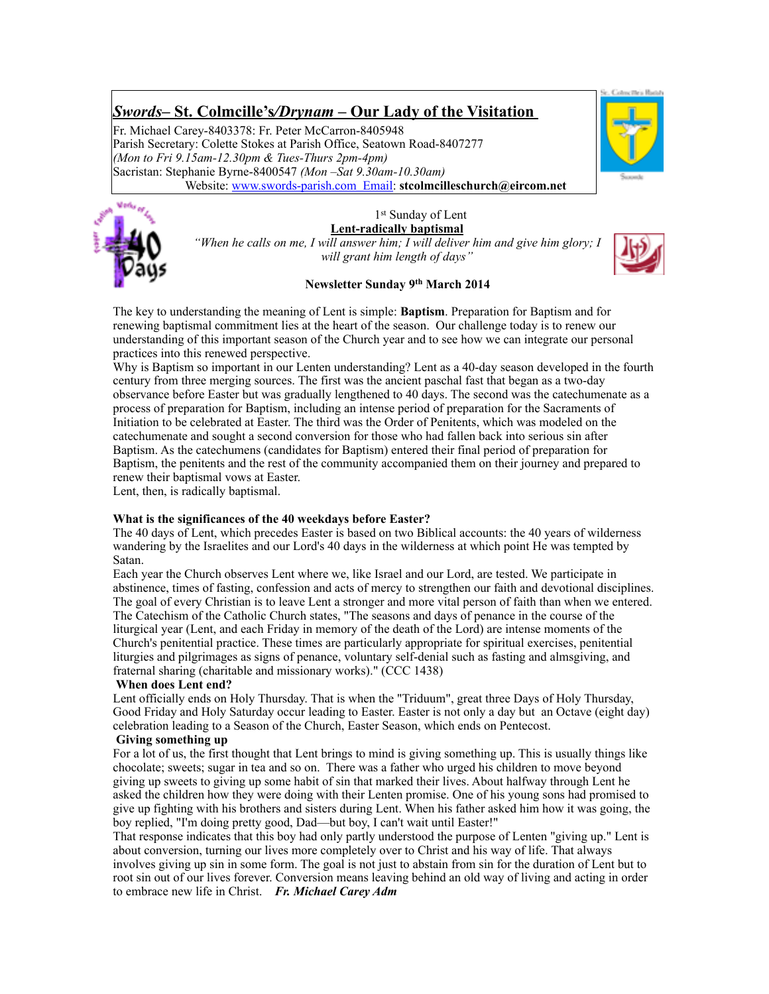# *Swords***– St. Colmcille's***/Drynam* **– Our Lady of the Visitation**

Fr. Michael Carey-8403378: Fr. Peter McCarron-8405948 Parish Secretary: Colette Stokes at Parish Office, Seatown Road-8407277 *(Mon to Fri 9.15am-12.30pm & Tues-Thurs 2pm-4pm)* Sacristan: Stephanie Byrne-8400547 *(Mon –Sat 9.30am-10.30am)* Website: [www.swords-parish.com Email:](http://www.swords-parish.com%20%20email) **stcolmcilleschurch@eircom.net**



1st Sunday of Lent **Lent-radically baptismal** 



*"When he calls on me, I will answer him; I will deliver him and give him glory; I will grant him length of days"* 



## **Newsletter Sunday 9th March 2014**

The key to understanding the meaning of Lent is simple: **Baptism**. Preparation for Baptism and for renewing baptismal commitment lies at the heart of the season. Our challenge today is to renew our understanding of this important season of the Church year and to see how we can integrate our personal practices into this renewed perspective.

Why is Baptism so important in our Lenten understanding? Lent as a 40-day season developed in the fourth century from three merging sources. The first was the ancient paschal fast that began as a two-day observance before Easter but was gradually lengthened to 40 days. The second was the catechumenate as a process of preparation for Baptism, including an intense period of preparation for the Sacraments of Initiation to be celebrated at Easter. The third was the Order of Penitents, which was modeled on the catechumenate and sought a second conversion for those who had fallen back into serious sin after Baptism. As the catechumens (candidates for Baptism) entered their final period of preparation for Baptism, the penitents and the rest of the community accompanied them on their journey and prepared to renew their baptismal vows at Easter.

Lent, then, is radically baptismal.

## **What is the significances of the 40 weekdays before Easter?**

The 40 days of Lent, which precedes Easter is based on two Biblical accounts: the 40 years of wilderness wandering by the Israelites and our Lord's 40 days in the wilderness at which point He was tempted by Satan.

Each year the Church observes Lent where we, like Israel and our Lord, are tested. We participate in abstinence, times of fasting, confession and acts of mercy to strengthen our faith and devotional disciplines. The goal of every Christian is to leave Lent a stronger and more vital person of faith than when we entered. The Catechism of the Catholic Church states, "The seasons and days of penance in the course of the liturgical year (Lent, and each Friday in memory of the death of the Lord) are intense moments of the Church's penitential practice. These times are particularly appropriate for spiritual exercises, penitential liturgies and pilgrimages as signs of penance, voluntary self-denial such as fasting and almsgiving, and fraternal sharing (charitable and missionary works)." (CCC 1438)

## **When does Lent end?**

Lent officially ends on Holy Thursday. That is when the "Triduum", great three Days of Holy Thursday, Good Friday and Holy Saturday occur leading to Easter. Easter is not only a day but an Octave (eight day) celebration leading to a Season of the Church, Easter Season, which ends on Pentecost.

## **Giving something up**

For a lot of us, the first thought that Lent brings to mind is giving something up. This is usually things like chocolate; sweets; sugar in tea and so on. There was a father who urged his children to move beyond giving up sweets to giving up some habit of sin that marked their lives. About halfway through Lent he asked the children how they were doing with their Lenten promise. One of his young sons had promised to give up fighting with his brothers and sisters during Lent. When his father asked him how it was going, the boy replied, "I'm doing pretty good, Dad—but boy, I can't wait until Easter!"

That response indicates that this boy had only partly understood the purpose of Lenten "giving up." Lent is about conversion, turning our lives more completely over to Christ and his way of life. That always involves giving up sin in some form. The goal is not just to abstain from sin for the duration of Lent but to root sin out of our lives forever. Conversion means leaving behind an old way of living and acting in order to embrace new life in Christ. *Fr. Michael Carey Adm*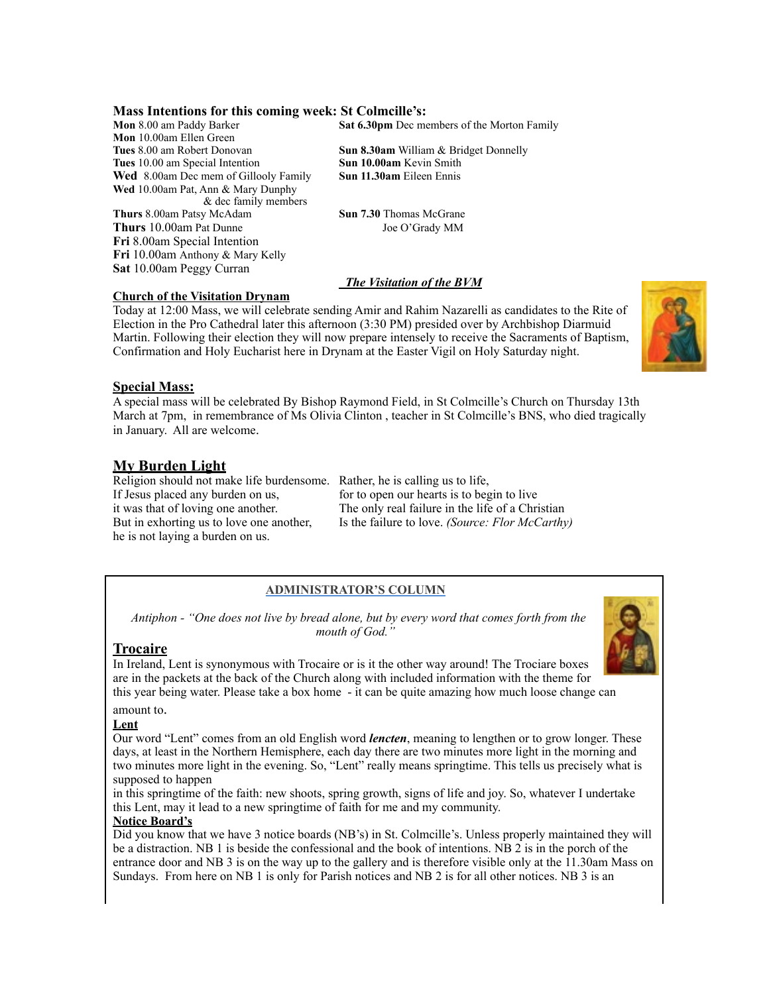## **Mass Intentions for this coming week: St Colmcille's:**

**Mon** 10.00am Ellen Green **Tues** 8.00 am Robert Donovan **Sun 8.30am** William & Bridget Donnelly **Tues** 10.00 am Special Intention **Sun 10.00am** Kevin Smith **Wed** 8.00am Dec mem of Gillooly Family **Sun 11.30am** Eileen Ennis **Wed** 10.00am Pat, Ann & Mary Dunphy & dec family members **Thurs** 8.00am Patsy McAdam **Sun 7.30** Thomas McGrane Thurs 10.00am Pat Dunne Joe O'Grady MM **Fri** 8.00am Special Intention **Fri** 10.00am Anthony & Mary Kelly **Sat** 10.00am Peggy Curran

**Mon** 8.00 am Paddy Barker **Sat 6.30pm** Dec members of the Morton Family

## *The Visitation of the BVM*

## **Church of the Visitation Drynam**

Today at 12:00 Mass, we will celebrate sending Amir and Rahim Nazarelli as candidates to the Rite of Election in the Pro Cathedral later this afternoon (3:30 PM) presided over by Archbishop Diarmuid Martin. Following their election they will now prepare intensely to receive the Sacraments of Baptism, Confirmation and Holy Eucharist here in Drynam at the Easter Vigil on Holy Saturday night.



## **Special Mass:**

A special mass will be celebrated By Bishop Raymond Field, in St Colmcille's Church on Thursday 13th March at 7pm, in remembrance of Ms Olivia Clinton, teacher in St Colmcille's BNS, who died tragically in January. All are welcome.

## **My Burden Light**

Religion should not make life burdensome. Rather, he is calling us to life, If Jesus placed any burden on us, for to open our hearts is to begin to live he is not laying a burden on us.

it was that of loving one another. The only real failure in the life of a Christian But in exhorting us to love one another, Is the failure to love. *(Source: Flor McCarthy)*

## **ADMINISTRATOR'S COLUMN**

 *Antiphon - "One does not live by bread alone, but by every word that comes forth from the mouth of God."* 

## **Trocaire**

In Ireland, Lent is synonymous with Trocaire or is it the other way around! The Trociare boxes are in the packets at the back of the Church along with included information with the theme for this year being water. Please take a box home - it can be quite amazing how much loose change can

amount to.

#### **Lent**

Our word "Lent" comes from an old English word *lencten*, meaning to lengthen or to grow longer. These days, at least in the Northern Hemisphere, each day there are two minutes more light in the morning and two minutes more light in the evening. So, "Lent" really means springtime. This tells us precisely what is supposed to happen

in this springtime of the faith: new shoots, spring growth, signs of life and joy. So, whatever I undertake this Lent, may it lead to a new springtime of faith for me and my community.

## **Notice Board's**

Did you know that we have 3 notice boards (NB's) in St. Colmcille's. Unless properly maintained they will be a distraction. NB 1 is beside the confessional and the book of intentions. NB 2 is in the porch of the entrance door and NB 3 is on the way up to the gallery and is therefore visible only at the 11.30am Mass on Sundays. From here on NB 1 is only for Parish notices and NB 2 is for all other notices. NB 3 is an

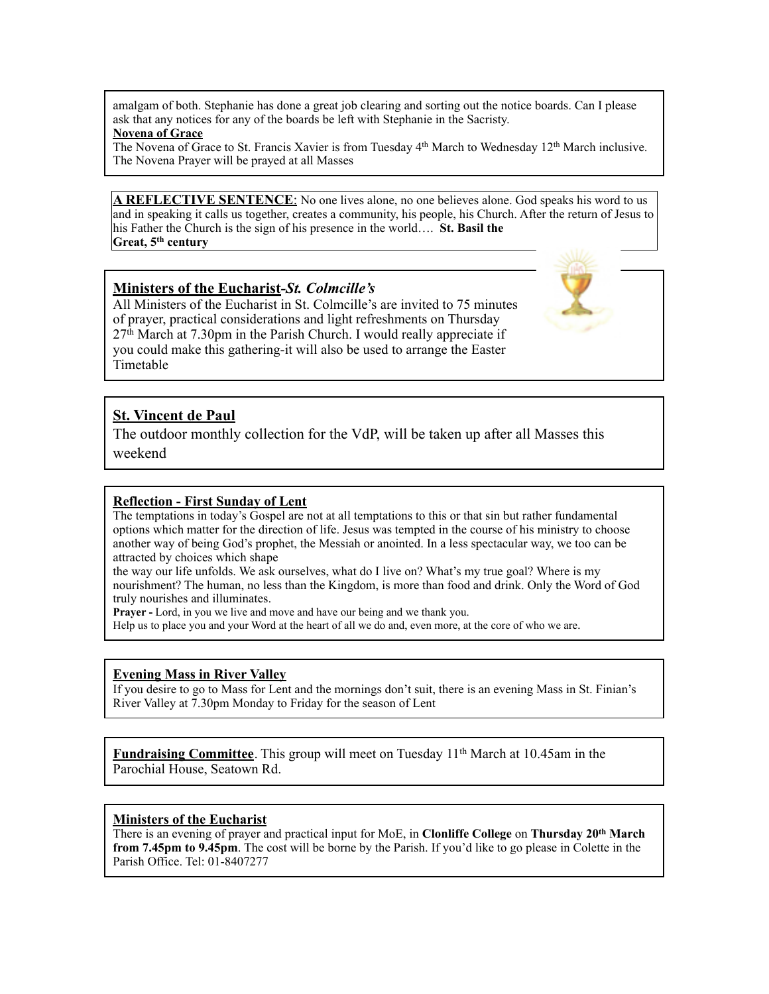amalgam of both. Stephanie has done a great job clearing and sorting out the notice boards. Can I please ask that any notices for any of the boards be left with Stephanie in the Sacristy.

## **Novena of Grace**

The Novena of Grace to St. Francis Xavier is from Tuesday 4th March to Wednesday 12th March inclusive. The Novena Prayer will be prayed at all Masses

A REFLECTIVE SENTENCE: No one lives alone, no one believes alone. God speaks his word to us and in speaking it calls us together, creates a community, his people, his Church. After the return of Jesus to his Father the Church is the sign of his presence in the world…. **St. Basil the Great, 5th century**

## **Ministers of the Eucharist***-St. Colmcille's*

All Ministers of the Eucharist in St. Colmcille's are invited to 75 minutes of prayer, practical considerations and light refreshments on Thursday 27th March at 7.30pm in the Parish Church. I would really appreciate if you could make this gathering-it will also be used to arrange the Easter Timetable

## **St. Vincent de Paul**

The outdoor monthly collection for the VdP, will be taken up after all Masses this weekend

## **Reflection - First Sunday of Lent**

The temptations in today's Gospel are not at all temptations to this or that sin but rather fundamental options which matter for the direction of life. Jesus was tempted in the course of his ministry to choose another way of being God's prophet, the Messiah or anointed. In a less spectacular way, we too can be attracted by choices which shape

the way our life unfolds. We ask ourselves, what do I live on? What's my true goal? Where is my nourishment? The human, no less than the Kingdom, is more than food and drink. Only the Word of God truly nourishes and illuminates.

**Prayer -** Lord, in you we live and move and have our being and we thank you.

Help us to place you and your Word at the heart of all we do and, even more, at the core of who we are.

## **Evening Mass in River Valley**

If you desire to go to Mass for Lent and the mornings don't suit, there is an evening Mass in St. Finian's River Valley at 7.30pm Monday to Friday for the season of Lent

**Fundraising Committee**. This group will meet on Tuesday 11th March at 10.45am in the Parochial House, Seatown Rd.

## **Ministers of the Eucharist**

There is an evening of prayer and practical input for MoE, in **Clonliffe College** on **Thursday 20th March from 7.45pm to 9.45pm**. The cost will be borne by the Parish. If you'd like to go please in Colette in the Parish Office. Tel: 01-8407277